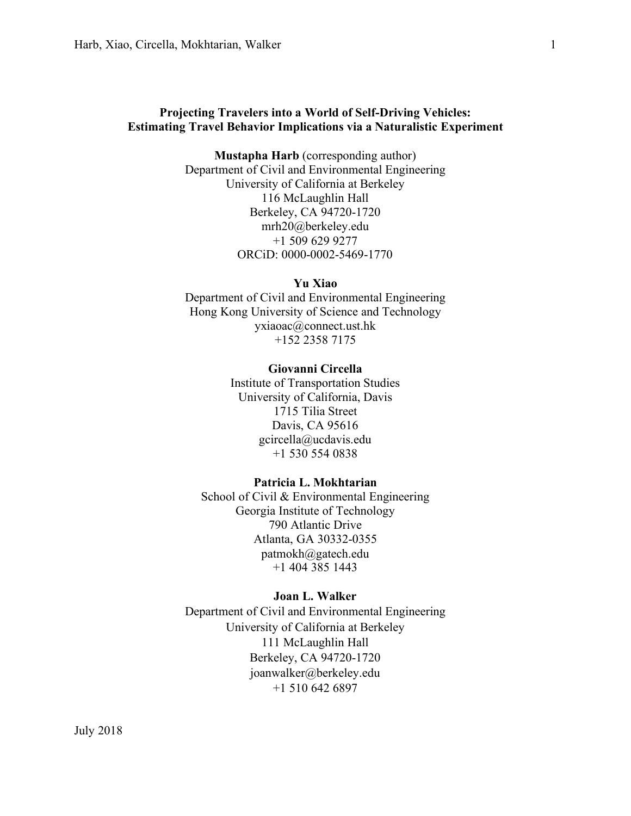## **Projecting Travelers into a World of Self-Driving Vehicles: Estimating Travel Behavior Implications via a Naturalistic Experiment**

**Mustapha Harb** (corresponding author) Department of Civil and Environmental Engineering University of California at Berkeley 116 McLaughlin Hall Berkeley, CA 94720-1720 mrh20@berkeley.edu +1 509 629 9277 ORCiD: 0000-0002-5469-1770

**Yu Xiao**

Department of Civil and Environmental Engineering Hong Kong University of Science and Technology yxiaoac@connect.ust.hk +152 2358 7175

## **Giovanni Circella**

Institute of Transportation Studies University of California, Davis 1715 Tilia Street Davis, CA 95616 gcircella@ucdavis.edu +1 530 554 0838

### **Patricia L. Mokhtarian**

School of Civil & Environmental Engineering Georgia Institute of Technology 790 Atlantic Drive Atlanta, GA 30332-0355 patmokh@gatech.edu +1 404 385 1443

#### **Joan L. Walker**

Department of Civil and Environmental Engineering University of California at Berkeley 111 McLaughlin Hall Berkeley, CA 94720-1720 joanwalker@berkeley.edu +1 510 642 6897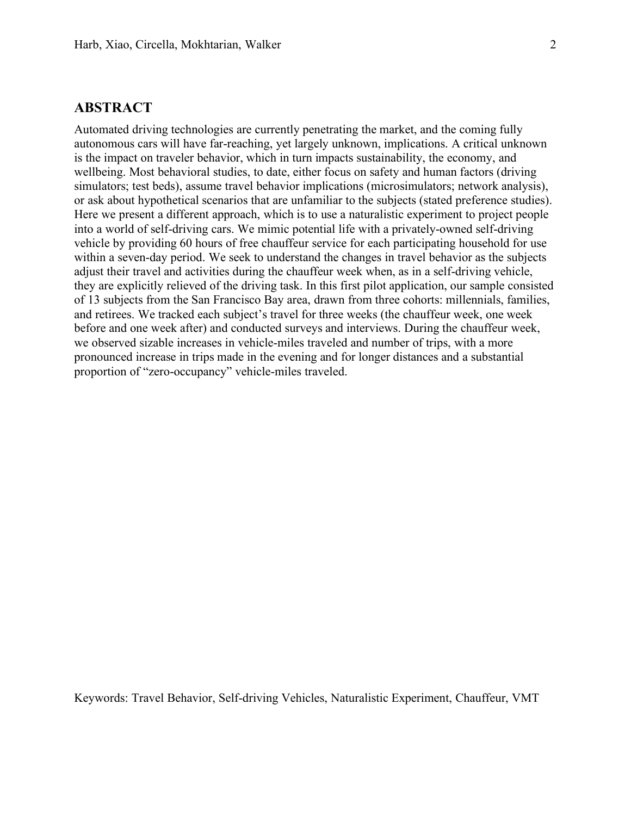# **ABSTRACT**

Automated driving technologies are currently penetrating the market, and the coming fully autonomous cars will have far-reaching, yet largely unknown, implications. A critical unknown is the impact on traveler behavior, which in turn impacts sustainability, the economy, and wellbeing. Most behavioral studies, to date, either focus on safety and human factors (driving simulators; test beds), assume travel behavior implications (microsimulators; network analysis), or ask about hypothetical scenarios that are unfamiliar to the subjects (stated preference studies). Here we present a different approach, which is to use a naturalistic experiment to project people into a world of self-driving cars. We mimic potential life with a privately-owned self-driving vehicle by providing 60 hours of free chauffeur service for each participating household for use within a seven-day period. We seek to understand the changes in travel behavior as the subjects adjust their travel and activities during the chauffeur week when, as in a self-driving vehicle, they are explicitly relieved of the driving task. In this first pilot application, our sample consisted of 13 subjects from the San Francisco Bay area, drawn from three cohorts: millennials, families, and retirees. We tracked each subject's travel for three weeks (the chauffeur week, one week before and one week after) and conducted surveys and interviews. During the chauffeur week, we observed sizable increases in vehicle-miles traveled and number of trips, with a more pronounced increase in trips made in the evening and for longer distances and a substantial proportion of "zero-occupancy" vehicle-miles traveled.

Keywords: Travel Behavior, Self-driving Vehicles, Naturalistic Experiment, Chauffeur, VMT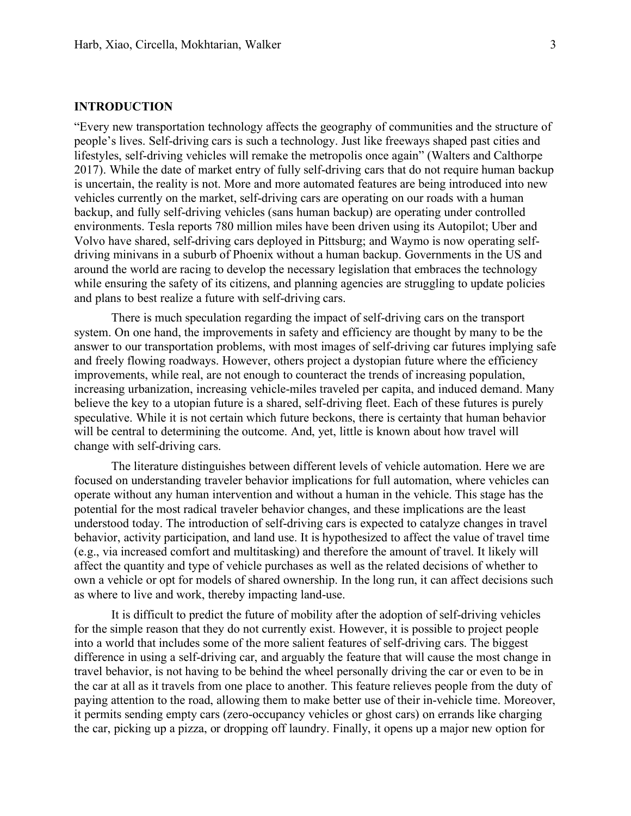### **INTRODUCTION**

"Every new transportation technology affects the geography of communities and the structure of people's lives. Self-driving cars is such a technology. Just like freeways shaped past cities and lifestyles, self-driving vehicles will remake the metropolis once again" (Walters and Calthorpe 2017). While the date of market entry of fully self-driving cars that do not require human backup is uncertain, the reality is not. More and more automated features are being introduced into new vehicles currently on the market, self-driving cars are operating on our roads with a human backup, and fully self-driving vehicles (sans human backup) are operating under controlled environments. Tesla reports 780 million miles have been driven using its Autopilot; Uber and Volvo have shared, self-driving cars deployed in Pittsburg; and Waymo is now operating selfdriving minivans in a suburb of Phoenix without a human backup. Governments in the US and around the world are racing to develop the necessary legislation that embraces the technology while ensuring the safety of its citizens, and planning agencies are struggling to update policies and plans to best realize a future with self-driving cars.

There is much speculation regarding the impact of self-driving cars on the transport system. On one hand, the improvements in safety and efficiency are thought by many to be the answer to our transportation problems, with most images of self-driving car futures implying safe and freely flowing roadways. However, others project a dystopian future where the efficiency improvements, while real, are not enough to counteract the trends of increasing population, increasing urbanization, increasing vehicle-miles traveled per capita, and induced demand. Many believe the key to a utopian future is a shared, self-driving fleet. Each of these futures is purely speculative. While it is not certain which future beckons, there is certainty that human behavior will be central to determining the outcome. And, yet, little is known about how travel will change with self-driving cars.

The literature distinguishes between different levels of vehicle automation. Here we are focused on understanding traveler behavior implications for full automation, where vehicles can operate without any human intervention and without a human in the vehicle. This stage has the potential for the most radical traveler behavior changes, and these implications are the least understood today. The introduction of self-driving cars is expected to catalyze changes in travel behavior, activity participation, and land use. It is hypothesized to affect the value of travel time (e.g., via increased comfort and multitasking) and therefore the amount of travel. It likely will affect the quantity and type of vehicle purchases as well as the related decisions of whether to own a vehicle or opt for models of shared ownership. In the long run, it can affect decisions such as where to live and work, thereby impacting land-use.

It is difficult to predict the future of mobility after the adoption of self-driving vehicles for the simple reason that they do not currently exist. However, it is possible to project people into a world that includes some of the more salient features of self-driving cars. The biggest difference in using a self-driving car, and arguably the feature that will cause the most change in travel behavior, is not having to be behind the wheel personally driving the car or even to be in the car at all as it travels from one place to another. This feature relieves people from the duty of paying attention to the road, allowing them to make better use of their in-vehicle time. Moreover, it permits sending empty cars (zero-occupancy vehicles or ghost cars) on errands like charging the car, picking up a pizza, or dropping off laundry. Finally, it opens up a major new option for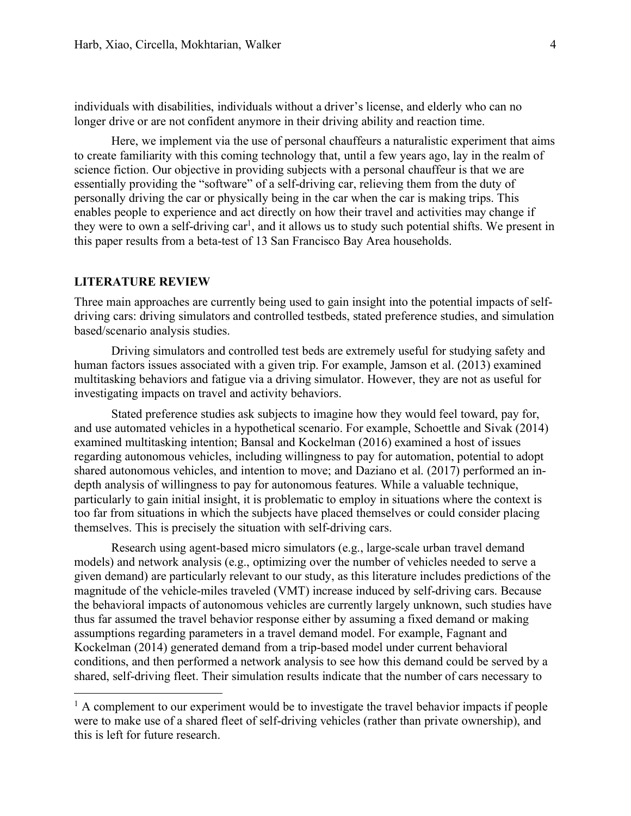individuals with disabilities, individuals without a driver's license, and elderly who can no longer drive or are not confident anymore in their driving ability and reaction time.

Here, we implement via the use of personal chauffeurs a naturalistic experiment that aims to create familiarity with this coming technology that, until a few years ago, lay in the realm of science fiction. Our objective in providing subjects with a personal chauffeur is that we are essentially providing the "software" of a self-driving car, relieving them from the duty of personally driving the car or physically being in the car when the car is making trips. This enables people to experience and act directly on how their travel and activities may change if they were to own a self-driving car<sup>1</sup>, and it allows us to study such potential shifts. We present in this paper results from a beta-test of 13 San Francisco Bay Area households.

### **LITERATURE REVIEW**

Three main approaches are currently being used to gain insight into the potential impacts of selfdriving cars: driving simulators and controlled testbeds, stated preference studies, and simulation based/scenario analysis studies.

Driving simulators and controlled test beds are extremely useful for studying safety and human factors issues associated with a given trip. For example, Jamson et al. (2013) examined multitasking behaviors and fatigue via a driving simulator. However, they are not as useful for investigating impacts on travel and activity behaviors.

Stated preference studies ask subjects to imagine how they would feel toward, pay for, and use automated vehicles in a hypothetical scenario. For example, Schoettle and Sivak (2014) examined multitasking intention; Bansal and Kockelman (2016) examined a host of issues regarding autonomous vehicles, including willingness to pay for automation, potential to adopt shared autonomous vehicles, and intention to move; and Daziano et al. (2017) performed an indepth analysis of willingness to pay for autonomous features. While a valuable technique, particularly to gain initial insight, it is problematic to employ in situations where the context is too far from situations in which the subjects have placed themselves or could consider placing themselves. This is precisely the situation with self-driving cars.

Research using agent-based micro simulators (e.g., large-scale urban travel demand models) and network analysis (e.g., optimizing over the number of vehicles needed to serve a given demand) are particularly relevant to our study, as this literature includes predictions of the magnitude of the vehicle-miles traveled (VMT) increase induced by self-driving cars. Because the behavioral impacts of autonomous vehicles are currently largely unknown, such studies have thus far assumed the travel behavior response either by assuming a fixed demand or making assumptions regarding parameters in a travel demand model. For example, Fagnant and Kockelman (2014) generated demand from a trip-based model under current behavioral conditions, and then performed a network analysis to see how this demand could be served by a shared, self-driving fleet. Their simulation results indicate that the number of cars necessary to

<sup>&</sup>lt;sup>1</sup> A complement to our experiment would be to investigate the travel behavior impacts if people were to make use of a shared fleet of self-driving vehicles (rather than private ownership), and this is left for future research.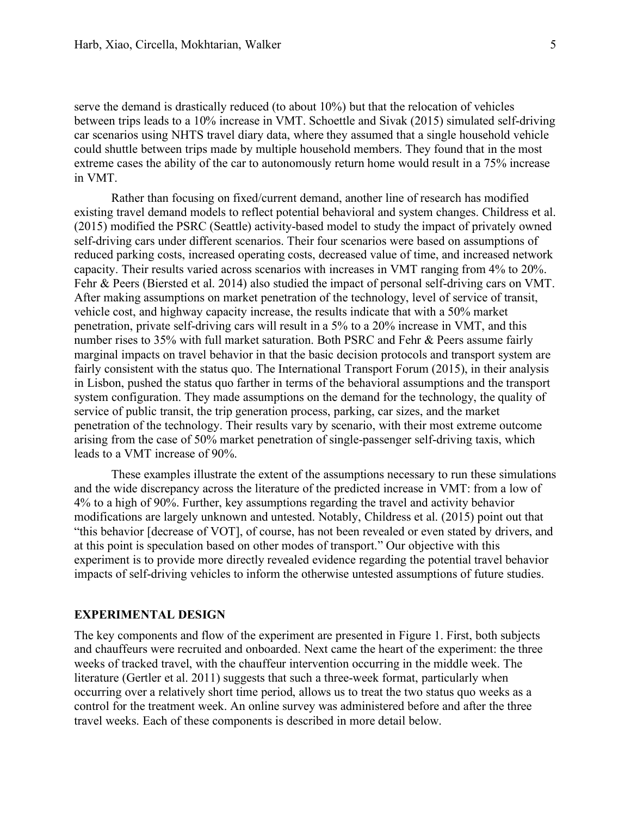serve the demand is drastically reduced (to about 10%) but that the relocation of vehicles between trips leads to a 10% increase in VMT. Schoettle and Sivak (2015) simulated self-driving car scenarios using NHTS travel diary data, where they assumed that a single household vehicle could shuttle between trips made by multiple household members. They found that in the most extreme cases the ability of the car to autonomously return home would result in a 75% increase in VMT.

Rather than focusing on fixed/current demand, another line of research has modified existing travel demand models to reflect potential behavioral and system changes. Childress et al. (2015) modified the PSRC (Seattle) activity-based model to study the impact of privately owned self-driving cars under different scenarios. Their four scenarios were based on assumptions of reduced parking costs, increased operating costs, decreased value of time, and increased network capacity. Their results varied across scenarios with increases in VMT ranging from 4% to 20%. Fehr & Peers (Biersted et al. 2014) also studied the impact of personal self-driving cars on VMT. After making assumptions on market penetration of the technology, level of service of transit, vehicle cost, and highway capacity increase, the results indicate that with a 50% market penetration, private self-driving cars will result in a 5% to a 20% increase in VMT, and this number rises to 35% with full market saturation. Both PSRC and Fehr & Peers assume fairly marginal impacts on travel behavior in that the basic decision protocols and transport system are fairly consistent with the status quo. The International Transport Forum (2015), in their analysis in Lisbon, pushed the status quo farther in terms of the behavioral assumptions and the transport system configuration. They made assumptions on the demand for the technology, the quality of service of public transit, the trip generation process, parking, car sizes, and the market penetration of the technology. Their results vary by scenario, with their most extreme outcome arising from the case of 50% market penetration of single-passenger self-driving taxis, which leads to a VMT increase of 90%.

These examples illustrate the extent of the assumptions necessary to run these simulations and the wide discrepancy across the literature of the predicted increase in VMT: from a low of 4% to a high of 90%. Further, key assumptions regarding the travel and activity behavior modifications are largely unknown and untested. Notably, Childress et al. (2015) point out that "this behavior [decrease of VOT], of course, has not been revealed or even stated by drivers, and at this point is speculation based on other modes of transport." Our objective with this experiment is to provide more directly revealed evidence regarding the potential travel behavior impacts of self-driving vehicles to inform the otherwise untested assumptions of future studies.

### **EXPERIMENTAL DESIGN**

The key components and flow of the experiment are presented in Figure 1. First, both subjects and chauffeurs were recruited and onboarded. Next came the heart of the experiment: the three weeks of tracked travel, with the chauffeur intervention occurring in the middle week. The literature (Gertler et al. 2011) suggests that such a three-week format, particularly when occurring over a relatively short time period, allows us to treat the two status quo weeks as a control for the treatment week. An online survey was administered before and after the three travel weeks. Each of these components is described in more detail below.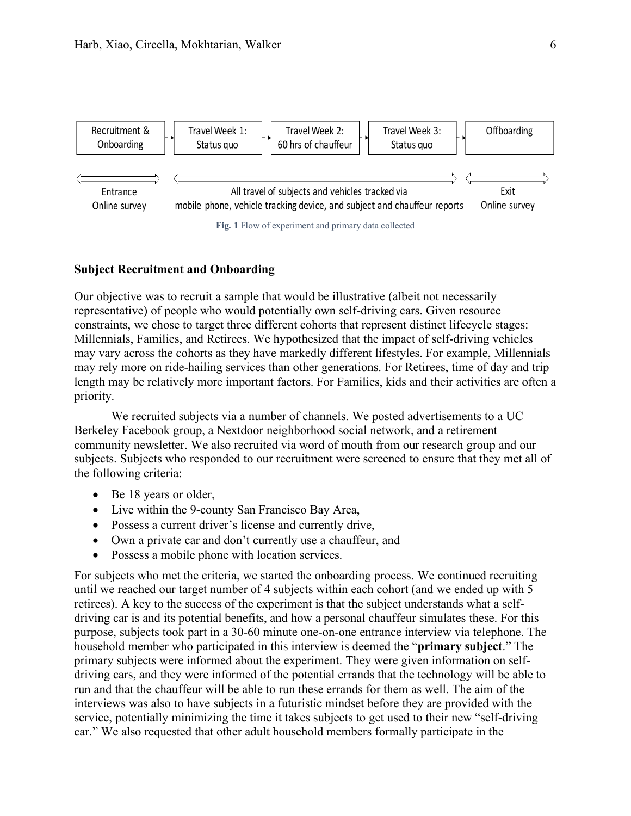

## **Subject Recruitment and Onboarding**

Our objective was to recruit a sample that would be illustrative (albeit not necessarily representative) of people who would potentially own self-driving cars. Given resource constraints, we chose to target three different cohorts that represent distinct lifecycle stages: Millennials, Families, and Retirees. We hypothesized that the impact of self-driving vehicles may vary across the cohorts as they have markedly different lifestyles. For example, Millennials may rely more on ride-hailing services than other generations. For Retirees, time of day and trip length may be relatively more important factors. For Families, kids and their activities are often a priority.

We recruited subjects via a number of channels. We posted advertisements to a UC Berkeley Facebook group, a Nextdoor neighborhood social network, and a retirement community newsletter. We also recruited via word of mouth from our research group and our subjects. Subjects who responded to our recruitment were screened to ensure that they met all of the following criteria:

- Be 18 years or older,
- Live within the 9-county San Francisco Bay Area,
- Possess a current driver's license and currently drive,
- Own a private car and don't currently use a chauffeur, and
- Possess a mobile phone with location services.

For subjects who met the criteria, we started the onboarding process. We continued recruiting until we reached our target number of 4 subjects within each cohort (and we ended up with 5 retirees). A key to the success of the experiment is that the subject understands what a selfdriving car is and its potential benefits, and how a personal chauffeur simulates these. For this purpose, subjects took part in a 30-60 minute one-on-one entrance interview via telephone. The household member who participated in this interview is deemed the "**primary subject**." The primary subjects were informed about the experiment. They were given information on selfdriving cars, and they were informed of the potential errands that the technology will be able to run and that the chauffeur will be able to run these errands for them as well. The aim of the interviews was also to have subjects in a futuristic mindset before they are provided with the service, potentially minimizing the time it takes subjects to get used to their new "self-driving car." We also requested that other adult household members formally participate in the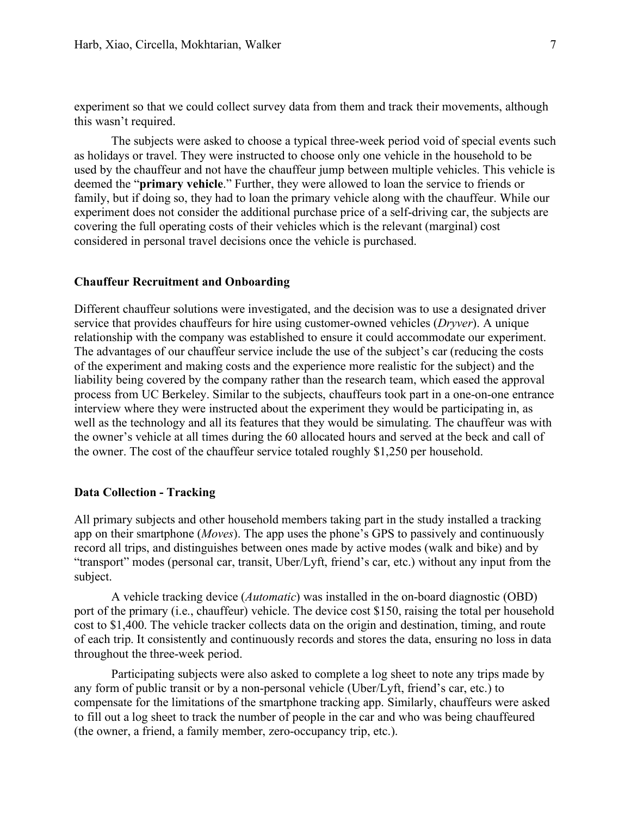experiment so that we could collect survey data from them and track their movements, although this wasn't required.

The subjects were asked to choose a typical three-week period void of special events such as holidays or travel. They were instructed to choose only one vehicle in the household to be used by the chauffeur and not have the chauffeur jump between multiple vehicles. This vehicle is deemed the "**primary vehicle**." Further, they were allowed to loan the service to friends or family, but if doing so, they had to loan the primary vehicle along with the chauffeur. While our experiment does not consider the additional purchase price of a self-driving car, the subjects are covering the full operating costs of their vehicles which is the relevant (marginal) cost considered in personal travel decisions once the vehicle is purchased.

#### **Chauffeur Recruitment and Onboarding**

Different chauffeur solutions were investigated, and the decision was to use a designated driver service that provides chauffeurs for hire using customer-owned vehicles (*Dryver*). A unique relationship with the company was established to ensure it could accommodate our experiment. The advantages of our chauffeur service include the use of the subject's car (reducing the costs of the experiment and making costs and the experience more realistic for the subject) and the liability being covered by the company rather than the research team, which eased the approval process from UC Berkeley. Similar to the subjects, chauffeurs took part in a one-on-one entrance interview where they were instructed about the experiment they would be participating in, as well as the technology and all its features that they would be simulating. The chauffeur was with the owner's vehicle at all times during the 60 allocated hours and served at the beck and call of the owner. The cost of the chauffeur service totaled roughly \$1,250 per household.

### **Data Collection - Tracking**

All primary subjects and other household members taking part in the study installed a tracking app on their smartphone (*Moves*). The app uses the phone's GPS to passively and continuously record all trips, and distinguishes between ones made by active modes (walk and bike) and by "transport" modes (personal car, transit, Uber/Lyft, friend's car, etc.) without any input from the subject.

A vehicle tracking device (*Automatic*) was installed in the on-board diagnostic (OBD) port of the primary (i.e., chauffeur) vehicle. The device cost \$150, raising the total per household cost to \$1,400. The vehicle tracker collects data on the origin and destination, timing, and route of each trip. It consistently and continuously records and stores the data, ensuring no loss in data throughout the three-week period.

Participating subjects were also asked to complete a log sheet to note any trips made by any form of public transit or by a non-personal vehicle (Uber/Lyft, friend's car, etc.) to compensate for the limitations of the smartphone tracking app. Similarly, chauffeurs were asked to fill out a log sheet to track the number of people in the car and who was being chauffeured (the owner, a friend, a family member, zero-occupancy trip, etc.).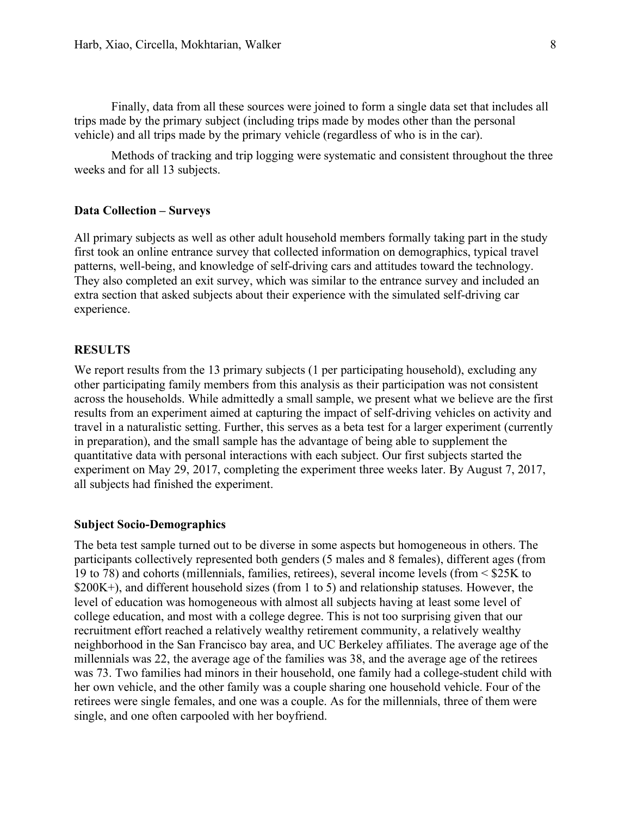Finally, data from all these sources were joined to form a single data set that includes all trips made by the primary subject (including trips made by modes other than the personal vehicle) and all trips made by the primary vehicle (regardless of who is in the car).

Methods of tracking and trip logging were systematic and consistent throughout the three weeks and for all 13 subjects.

### **Data Collection – Surveys**

All primary subjects as well as other adult household members formally taking part in the study first took an online entrance survey that collected information on demographics, typical travel patterns, well-being, and knowledge of self-driving cars and attitudes toward the technology. They also completed an exit survey, which was similar to the entrance survey and included an extra section that asked subjects about their experience with the simulated self-driving car experience.

#### **RESULTS**

We report results from the 13 primary subjects (1 per participating household), excluding any other participating family members from this analysis as their participation was not consistent across the households. While admittedly a small sample, we present what we believe are the first results from an experiment aimed at capturing the impact of self-driving vehicles on activity and travel in a naturalistic setting. Further, this serves as a beta test for a larger experiment (currently in preparation), and the small sample has the advantage of being able to supplement the quantitative data with personal interactions with each subject. Our first subjects started the experiment on May 29, 2017, completing the experiment three weeks later. By August 7, 2017, all subjects had finished the experiment.

#### **Subject Socio-Demographics**

The beta test sample turned out to be diverse in some aspects but homogeneous in others. The participants collectively represented both genders (5 males and 8 females), different ages (from 19 to 78) and cohorts (millennials, families, retirees), several income levels (from < \$25K to \$200K+), and different household sizes (from 1 to 5) and relationship statuses. However, the level of education was homogeneous with almost all subjects having at least some level of college education, and most with a college degree. This is not too surprising given that our recruitment effort reached a relatively wealthy retirement community, a relatively wealthy neighborhood in the San Francisco bay area, and UC Berkeley affiliates. The average age of the millennials was 22, the average age of the families was 38, and the average age of the retirees was 73. Two families had minors in their household, one family had a college-student child with her own vehicle, and the other family was a couple sharing one household vehicle. Four of the retirees were single females, and one was a couple. As for the millennials, three of them were single, and one often carpooled with her boyfriend.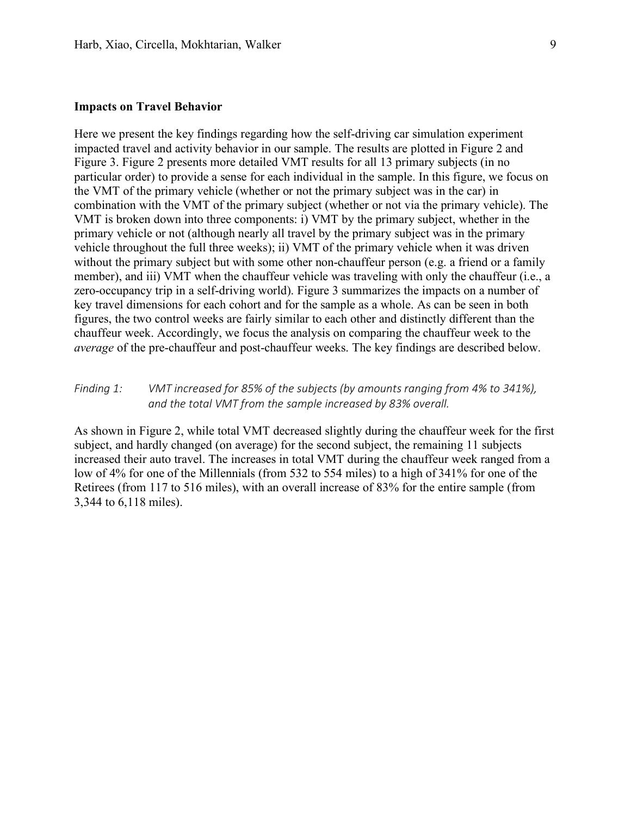#### **Impacts on Travel Behavior**

Here we present the key findings regarding how the self-driving car simulation experiment impacted travel and activity behavior in our sample. The results are plotted in Figure 2 and Figure 3. Figure 2 presents more detailed VMT results for all 13 primary subjects (in no particular order) to provide a sense for each individual in the sample. In this figure, we focus on the VMT of the primary vehicle (whether or not the primary subject was in the car) in combination with the VMT of the primary subject (whether or not via the primary vehicle). The VMT is broken down into three components: i) VMT by the primary subject, whether in the primary vehicle or not (although nearly all travel by the primary subject was in the primary vehicle throughout the full three weeks); ii) VMT of the primary vehicle when it was driven without the primary subject but with some other non-chauffeur person (e.g. a friend or a family member), and iii) VMT when the chauffeur vehicle was traveling with only the chauffeur (i.e., a zero-occupancy trip in a self-driving world). Figure 3 summarizes the impacts on a number of key travel dimensions for each cohort and for the sample as a whole. As can be seen in both figures, the two control weeks are fairly similar to each other and distinctly different than the chauffeur week. Accordingly, we focus the analysis on comparing the chauffeur week to the *average* of the pre-chauffeur and post-chauffeur weeks. The key findings are described below.

# *Finding 1: VMT increased for 85% of the subjects (by amounts ranging from 4% to 341%), and the total VMT from the sample increased by 83% overall.*

As shown in Figure 2, while total VMT decreased slightly during the chauffeur week for the first subject, and hardly changed (on average) for the second subject, the remaining 11 subjects increased their auto travel. The increases in total VMT during the chauffeur week ranged from a low of 4% for one of the Millennials (from 532 to 554 miles) to a high of 341% for one of the Retirees (from 117 to 516 miles), with an overall increase of 83% for the entire sample (from 3,344 to 6,118 miles).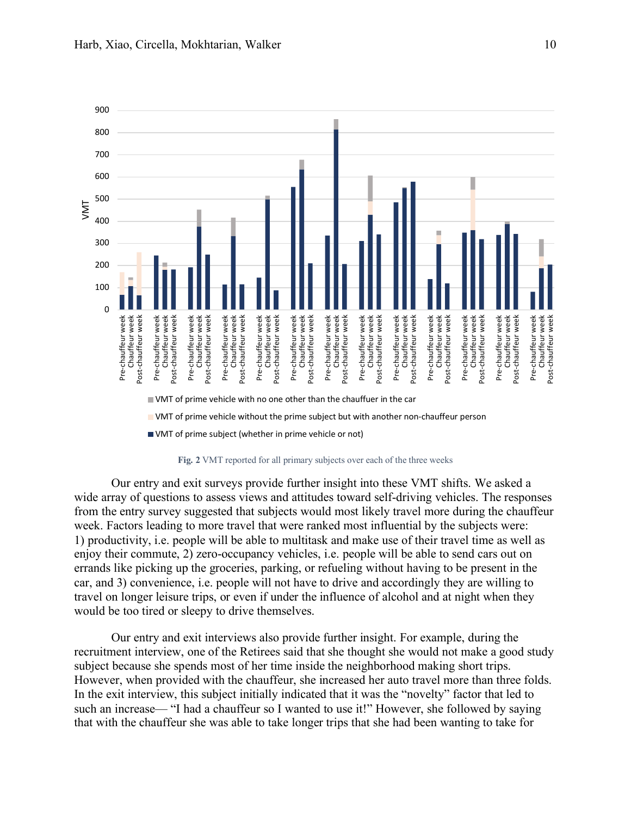

VMT of prime vehicle with no one other than the chauffuer in the car

VMT of prime vehicle without the prime subject but with another non-chauffeur person

VMT of prime subject (whether in prime vehicle or not)

#### **Fig. 2** VMT reported for all primary subjects over each of the three weeks

Our entry and exit surveys provide further insight into these VMT shifts. We asked a wide array of questions to assess views and attitudes toward self-driving vehicles. The responses from the entry survey suggested that subjects would most likely travel more during the chauffeur week. Factors leading to more travel that were ranked most influential by the subjects were: 1) productivity, i.e. people will be able to multitask and make use of their travel time as well as enjoy their commute, 2) zero-occupancy vehicles, i.e. people will be able to send cars out on errands like picking up the groceries, parking, or refueling without having to be present in the car, and 3) convenience, i.e. people will not have to drive and accordingly they are willing to travel on longer leisure trips, or even if under the influence of alcohol and at night when they would be too tired or sleepy to drive themselves.

Our entry and exit interviews also provide further insight. For example, during the recruitment interview, one of the Retirees said that she thought she would not make a good study subject because she spends most of her time inside the neighborhood making short trips. However, when provided with the chauffeur, she increased her auto travel more than three folds. In the exit interview, this subject initially indicated that it was the "novelty" factor that led to such an increase— "I had a chauffeur so I wanted to use it!" However, she followed by saying that with the chauffeur she was able to take longer trips that she had been wanting to take for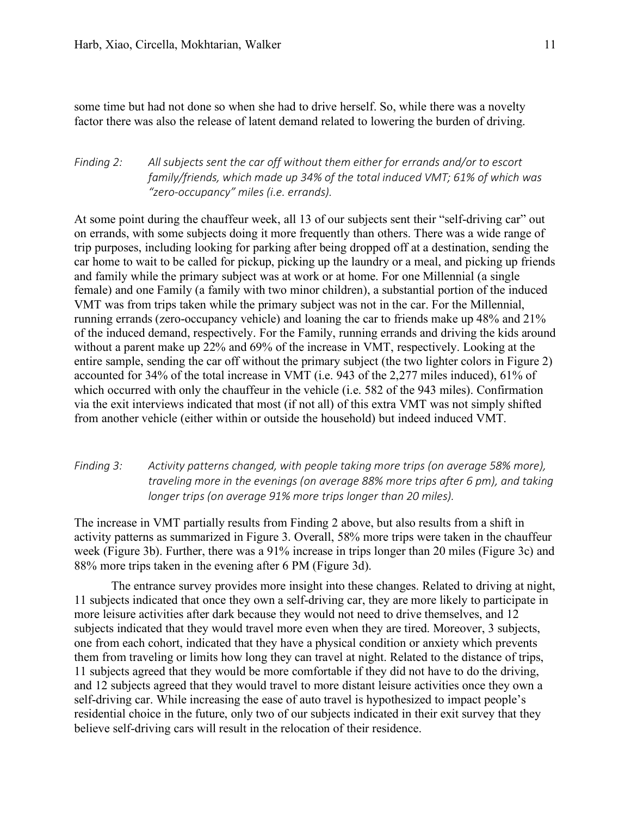some time but had not done so when she had to drive herself. So, while there was a novelty factor there was also the release of latent demand related to lowering the burden of driving.

# *Finding 2: All subjects sent the car off without them either for errands and/or to escort family/friends, which made up 34% of the total induced VMT; 61% of which was "zero-occupancy" miles (i.e. errands).*

At some point during the chauffeur week, all 13 of our subjects sent their "self-driving car" out on errands, with some subjects doing it more frequently than others. There was a wide range of trip purposes, including looking for parking after being dropped off at a destination, sending the car home to wait to be called for pickup, picking up the laundry or a meal, and picking up friends and family while the primary subject was at work or at home. For one Millennial (a single female) and one Family (a family with two minor children), a substantial portion of the induced VMT was from trips taken while the primary subject was not in the car. For the Millennial, running errands (zero-occupancy vehicle) and loaning the car to friends make up 48% and 21% of the induced demand, respectively. For the Family, running errands and driving the kids around without a parent make up 22% and 69% of the increase in VMT, respectively. Looking at the entire sample, sending the car off without the primary subject (the two lighter colors in Figure 2) accounted for 34% of the total increase in VMT (i.e. 943 of the 2,277 miles induced), 61% of which occurred with only the chauffeur in the vehicle (i.e. 582 of the 943 miles). Confirmation via the exit interviews indicated that most (if not all) of this extra VMT was not simply shifted from another vehicle (either within or outside the household) but indeed induced VMT.

# *Finding 3: Activity patterns changed, with people taking more trips (on average 58% more), traveling more in the evenings (on average 88% more trips after 6 pm), and taking longer trips (on average 91% more trips longer than 20 miles).*

The increase in VMT partially results from Finding 2 above, but also results from a shift in activity patterns as summarized in Figure 3. Overall, 58% more trips were taken in the chauffeur week (Figure 3b). Further, there was a 91% increase in trips longer than 20 miles (Figure 3c) and 88% more trips taken in the evening after 6 PM (Figure 3d).

The entrance survey provides more insight into these changes. Related to driving at night, 11 subjects indicated that once they own a self-driving car, they are more likely to participate in more leisure activities after dark because they would not need to drive themselves, and 12 subjects indicated that they would travel more even when they are tired. Moreover, 3 subjects, one from each cohort, indicated that they have a physical condition or anxiety which prevents them from traveling or limits how long they can travel at night. Related to the distance of trips, 11 subjects agreed that they would be more comfortable if they did not have to do the driving, and 12 subjects agreed that they would travel to more distant leisure activities once they own a self-driving car. While increasing the ease of auto travel is hypothesized to impact people's residential choice in the future, only two of our subjects indicated in their exit survey that they believe self-driving cars will result in the relocation of their residence.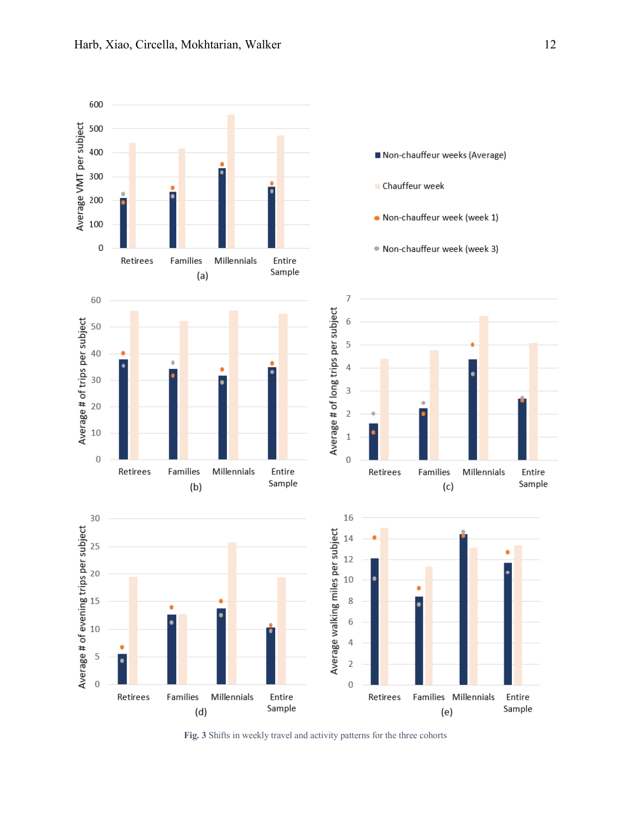

**Fig. 3** Shifts in weekly travel and activity patterns for the three cohorts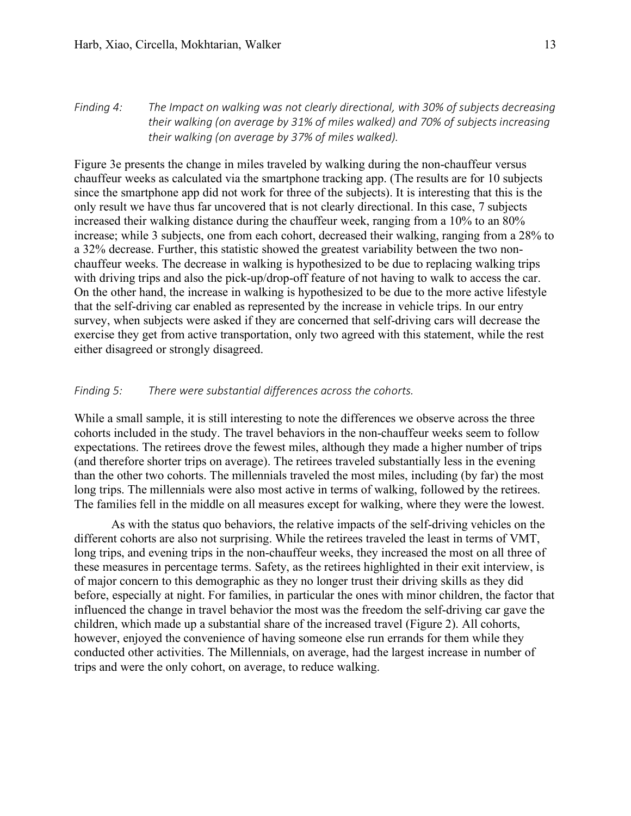*Finding 4: The Impact on walking was not clearly directional, with 30% of subjects decreasing their walking (on average by 31% of miles walked) and 70% of subjects increasing their walking (on average by 37% of miles walked).*

Figure 3e presents the change in miles traveled by walking during the non-chauffeur versus chauffeur weeks as calculated via the smartphone tracking app. (The results are for 10 subjects since the smartphone app did not work for three of the subjects). It is interesting that this is the only result we have thus far uncovered that is not clearly directional. In this case, 7 subjects increased their walking distance during the chauffeur week, ranging from a 10% to an 80% increase; while 3 subjects, one from each cohort, decreased their walking, ranging from a 28% to a 32% decrease. Further, this statistic showed the greatest variability between the two nonchauffeur weeks. The decrease in walking is hypothesized to be due to replacing walking trips with driving trips and also the pick-up/drop-off feature of not having to walk to access the car. On the other hand, the increase in walking is hypothesized to be due to the more active lifestyle that the self-driving car enabled as represented by the increase in vehicle trips. In our entry survey, when subjects were asked if they are concerned that self-driving cars will decrease the exercise they get from active transportation, only two agreed with this statement, while the rest either disagreed or strongly disagreed.

### *Finding 5: There were substantial differences across the cohorts.*

While a small sample, it is still interesting to note the differences we observe across the three cohorts included in the study. The travel behaviors in the non-chauffeur weeks seem to follow expectations. The retirees drove the fewest miles, although they made a higher number of trips (and therefore shorter trips on average). The retirees traveled substantially less in the evening than the other two cohorts. The millennials traveled the most miles, including (by far) the most long trips. The millennials were also most active in terms of walking, followed by the retirees. The families fell in the middle on all measures except for walking, where they were the lowest.

As with the status quo behaviors, the relative impacts of the self-driving vehicles on the different cohorts are also not surprising. While the retirees traveled the least in terms of VMT, long trips, and evening trips in the non-chauffeur weeks, they increased the most on all three of these measures in percentage terms. Safety, as the retirees highlighted in their exit interview, is of major concern to this demographic as they no longer trust their driving skills as they did before, especially at night. For families, in particular the ones with minor children, the factor that influenced the change in travel behavior the most was the freedom the self-driving car gave the children, which made up a substantial share of the increased travel (Figure 2). All cohorts, however, enjoyed the convenience of having someone else run errands for them while they conducted other activities. The Millennials, on average, had the largest increase in number of trips and were the only cohort, on average, to reduce walking.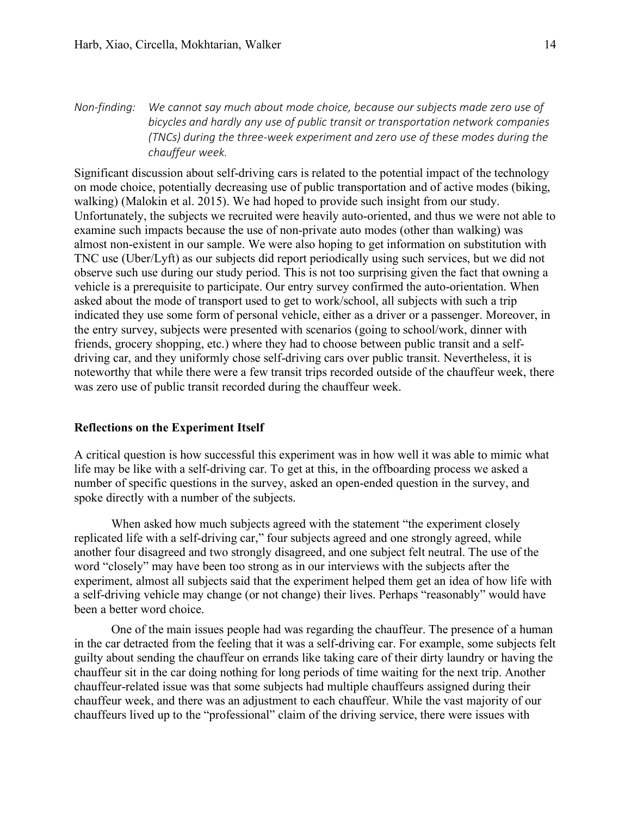Significant discussion about self-driving cars is related to the potential impact of the technology on mode choice, potentially decreasing use of public transportation and of active modes (biking, walking) (Malokin et al. 2015). We had hoped to provide such insight from our study. Unfortunately, the subjects we recruited were heavily auto-oriented, and thus we were not able to examine such impacts because the use of non-private auto modes (other than walking) was almost non-existent in our sample. We were also hoping to get information on substitution with TNC use (Uber/Lyft) as our subjects did report periodically using such services, but we did not observe such use during our study period. This is not too surprising given the fact that owning a vehicle is a prerequisite to participate. Our entry survey confirmed the auto-orientation. When asked about the mode of transport used to get to work/school, all subjects with such a trip indicated they use some form of personal vehicle, either as a driver or a passenger. Moreover, in the entry survey, subjects were presented with scenarios (going to school/work, dinner with friends, grocery shopping, etc.) where they had to choose between public transit and a selfdriving car, and they uniformly chose self-driving cars over public transit. Nevertheless, it is noteworthy that while there were a few transit trips recorded outside of the chauffeur week, there was zero use of public transit recorded during the chauffeur week.

### **Reflections on the Experiment Itself**

A critical question is how successful this experiment was in how well it was able to mimic what life may be like with a self-driving car. To get at this, in the offboarding process we asked a number of specific questions in the survey, asked an open-ended question in the survey, and spoke directly with a number of the subjects.

When asked how much subjects agreed with the statement "the experiment closely" replicated life with a self-driving car," four subjects agreed and one strongly agreed, while another four disagreed and two strongly disagreed, and one subject felt neutral. The use of the word "closely" may have been too strong as in our interviews with the subjects after the experiment, almost all subjects said that the experiment helped them get an idea of how life with a self-driving vehicle may change (or not change) their lives. Perhaps "reasonably" would have been a better word choice.

One of the main issues people had was regarding the chauffeur. The presence of a human in the car detracted from the feeling that it was a self-driving car. For example, some subjects felt guilty about sending the chauffeur on errands like taking care of their dirty laundry or having the chauffeur sit in the car doing nothing for long periods of time waiting for the next trip. Another chauffeur-related issue was that some subjects had multiple chauffeurs assigned during their chauffeur week, and there was an adjustment to each chauffeur. While the vast majority of our chauffeurs lived up to the "professional" claim of the driving service, there were issues with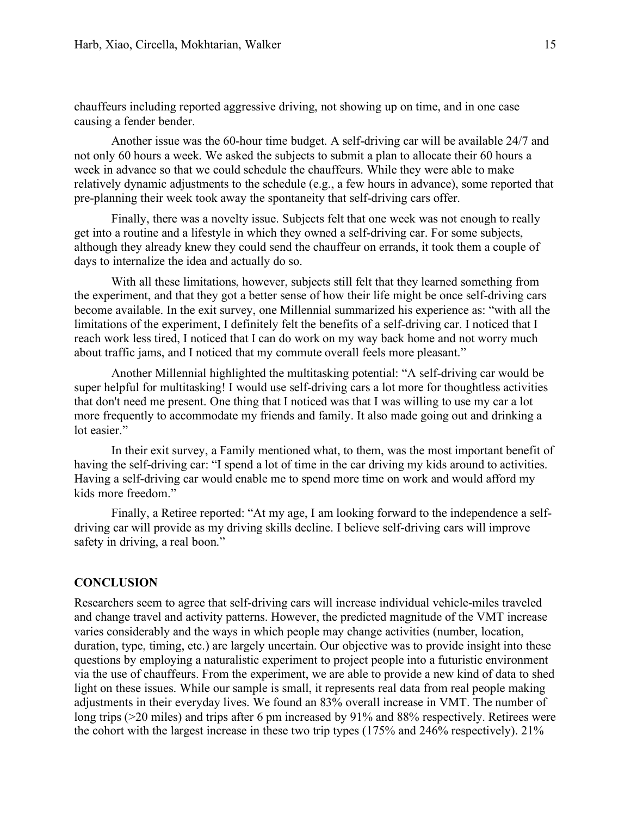chauffeurs including reported aggressive driving, not showing up on time, and in one case causing a fender bender.

Another issue was the 60-hour time budget. A self-driving car will be available 24/7 and not only 60 hours a week. We asked the subjects to submit a plan to allocate their 60 hours a week in advance so that we could schedule the chauffeurs. While they were able to make relatively dynamic adjustments to the schedule (e.g., a few hours in advance), some reported that pre-planning their week took away the spontaneity that self-driving cars offer.

Finally, there was a novelty issue. Subjects felt that one week was not enough to really get into a routine and a lifestyle in which they owned a self-driving car. For some subjects, although they already knew they could send the chauffeur on errands, it took them a couple of days to internalize the idea and actually do so.

With all these limitations, however, subjects still felt that they learned something from the experiment, and that they got a better sense of how their life might be once self-driving cars become available. In the exit survey, one Millennial summarized his experience as: "with all the limitations of the experiment, I definitely felt the benefits of a self-driving car. I noticed that I reach work less tired, I noticed that I can do work on my way back home and not worry much about traffic jams, and I noticed that my commute overall feels more pleasant."

Another Millennial highlighted the multitasking potential: "A self-driving car would be super helpful for multitasking! I would use self-driving cars a lot more for thoughtless activities that don't need me present. One thing that I noticed was that I was willing to use my car a lot more frequently to accommodate my friends and family. It also made going out and drinking a lot easier."

In their exit survey, a Family mentioned what, to them, was the most important benefit of having the self-driving car: "I spend a lot of time in the car driving my kids around to activities. Having a self-driving car would enable me to spend more time on work and would afford my kids more freedom."

Finally, a Retiree reported: "At my age, I am looking forward to the independence a selfdriving car will provide as my driving skills decline. I believe self-driving cars will improve safety in driving, a real boon."

### **CONCLUSION**

Researchers seem to agree that self-driving cars will increase individual vehicle-miles traveled and change travel and activity patterns. However, the predicted magnitude of the VMT increase varies considerably and the ways in which people may change activities (number, location, duration, type, timing, etc.) are largely uncertain. Our objective was to provide insight into these questions by employing a naturalistic experiment to project people into a futuristic environment via the use of chauffeurs. From the experiment, we are able to provide a new kind of data to shed light on these issues. While our sample is small, it represents real data from real people making adjustments in their everyday lives. We found an 83% overall increase in VMT. The number of long trips ( $>$ 20 miles) and trips after 6 pm increased by 91% and 88% respectively. Retirees were the cohort with the largest increase in these two trip types (175% and 246% respectively). 21%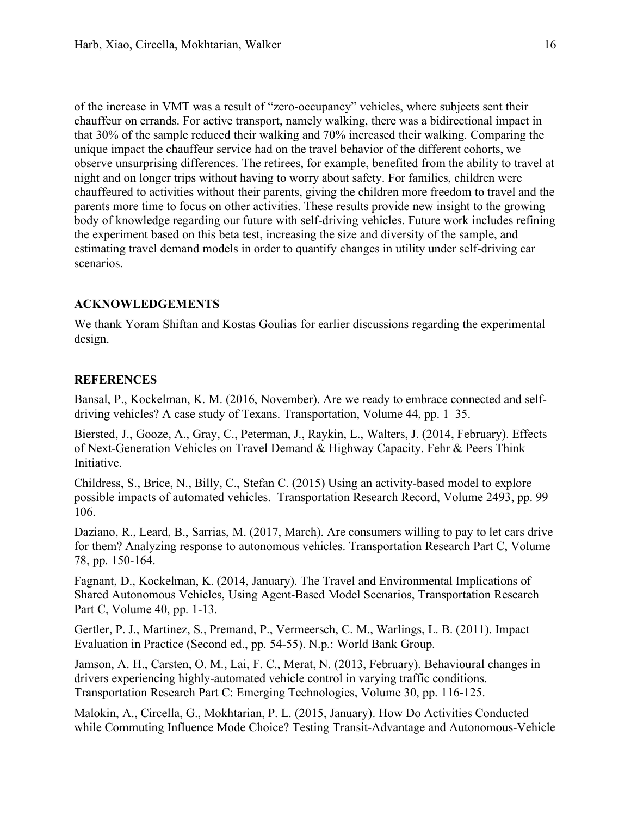of the increase in VMT was a result of "zero-occupancy" vehicles, where subjects sent their chauffeur on errands. For active transport, namely walking, there was a bidirectional impact in that 30% of the sample reduced their walking and 70% increased their walking. Comparing the unique impact the chauffeur service had on the travel behavior of the different cohorts, we observe unsurprising differences. The retirees, for example, benefited from the ability to travel at night and on longer trips without having to worry about safety. For families, children were chauffeured to activities without their parents, giving the children more freedom to travel and the parents more time to focus on other activities. These results provide new insight to the growing body of knowledge regarding our future with self-driving vehicles. Future work includes refining the experiment based on this beta test, increasing the size and diversity of the sample, and estimating travel demand models in order to quantify changes in utility under self-driving car scenarios.

# **ACKNOWLEDGEMENTS**

We thank Yoram Shiftan and Kostas Goulias for earlier discussions regarding the experimental design.

## **REFERENCES**

Bansal, P., Kockelman, K. M. (2016, November). Are we ready to embrace connected and selfdriving vehicles? A case study of Texans. Transportation, Volume 44, pp. 1–35.

Biersted, J., Gooze, A., Gray, C., Peterman, J., Raykin, L., Walters, J. (2014, February). Effects of Next-Generation Vehicles on Travel Demand & Highway Capacity. Fehr & Peers Think Initiative.

Childress, S., Brice, N., Billy, C., Stefan C. (2015) Using an activity-based model to explore possible impacts of automated vehicles. Transportation Research Record, Volume 2493, pp. 99– 106.

Daziano, R., Leard, B., Sarrias, M. (2017, March). Are consumers willing to pay to let cars drive for them? Analyzing response to autonomous vehicles. Transportation Research Part C, Volume 78, pp. 150-164.

Fagnant, D., Kockelman, K. (2014, January). The Travel and Environmental Implications of Shared Autonomous Vehicles, Using Agent-Based Model Scenarios, Transportation Research Part C, Volume 40, pp. 1-13.

Gertler, P. J., Martinez, S., Premand, P., Vermeersch, C. M., Warlings, L. B. (2011). Impact Evaluation in Practice (Second ed., pp. 54-55). N.p.: World Bank Group.

Jamson, A. H., Carsten, O. M., Lai, F. C., Merat, N. (2013, February). Behavioural changes in drivers experiencing highly-automated vehicle control in varying traffic conditions. Transportation Research Part C: Emerging Technologies, Volume 30, pp. 116-125.

Malokin, A., Circella, G., Mokhtarian, P. L. (2015, January). How Do Activities Conducted while Commuting Influence Mode Choice? Testing Transit-Advantage and Autonomous-Vehicle